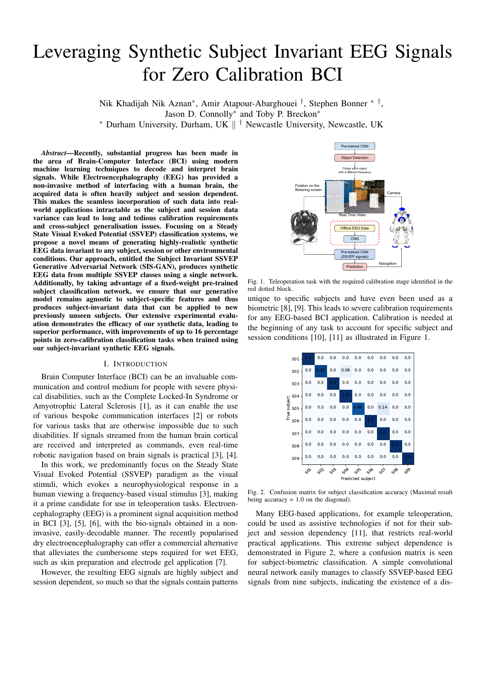# Leveraging Synthetic Subject Invariant EEG Signals for Zero Calibration BCI

Nik Khadijah Nik Aznan<sup>∗</sup> , Amir Atapour-Abarghouei † , Stephen Bonner ∗ † , Jason D. Connolly<sup>\*</sup> and Toby P. Breckon<sup>\*</sup>

<sup>∗</sup> Durham University, Durham, UK k † Newcastle University, Newcastle, UK

*Abstract*—Recently, substantial progress has been made in the area of Brain-Computer Interface (BCI) using modern machine learning techniques to decode and interpret brain signals. While Electroencephalography (EEG) has provided a non-invasive method of interfacing with a human brain, the acquired data is often heavily subject and session dependent. This makes the seamless incorporation of such data into realworld applications intractable as the subject and session data variance can lead to long and tedious calibration requirements and cross-subject generalisation issues. Focusing on a Steady State Visual Evoked Potential (SSVEP) classification systems, we propose a novel means of generating highly-realistic synthetic EEG data invariant to any subject, session or other environmental conditions. Our approach, entitled the Subject Invariant SSVEP Generative Adversarial Network (SIS-GAN), produces synthetic EEG data from multiple SSVEP classes using a single network. Additionally, by taking advantage of a fixed-weight pre-trained subject classification network, we ensure that our generative model remains agnostic to subject-specific features and thus produces subject-invariant data that can be applied to new previously unseen subjects. Our extensive experimental evaluation demonstrates the efficacy of our synthetic data, leading to superior performance, with improvements of up to 16 percentage points in zero-calibration classification tasks when trained using our subject-invariant synthetic EEG signals.

## I. INTRODUCTION

Brain Computer Interface (BCI) can be an invaluable communication and control medium for people with severe physical disabilities, such as the Complete Locked-In Syndrome or Amyotrophic Lateral Sclerosis [1], as it can enable the use of various bespoke communication interfaces [2] or robots for various tasks that are otherwise impossible due to such disabilities. If signals streamed from the human brain cortical are received and interpreted as commands, even real-time robotic navigation based on brain signals is practical [3], [4].

In this work, we predominantly focus on the Steady State Visual Evoked Potential (SSVEP) paradigm as the visual stimuli, which evokes a neurophysiological response in a human viewing a frequency-based visual stimulus [3], making it a prime candidate for use in teleoperation tasks. Electroencephalography (EEG) is a prominent signal acquisition method in BCI [3], [5], [6], with the bio-signals obtained in a noninvasive, easily-decodable manner. The recently popularised dry electroencephalography can offer a commercial alternative that alleviates the cumbersome steps required for wet EEG, such as skin preparation and electrode gel application [7].

However, the resulting EEG signals are highly subject and session dependent, so much so that the signals contain patterns



Fig. 1. Teleoperation task with the required calibration stage identified in the red dotted block.

unique to specific subjects and have even been used as a biometric [8], [9]. This leads to severe calibration requirements for any EEG-based BCI application. Calibration is needed at the beginning of any task to account for specific subject and session conditions [10], [11] as illustrated in Figure 1.



Fig. 2. Confusion matrix for subject classification accuracy (Maximal result being accuracy  $= 1.0$  on the diagonal).

Many EEG-based applications, for example teleoperation, could be used as assistive technologies if not for their subject and session dependency [11], that restricts real-world practical applications. This extreme subject dependence is demonstrated in Figure 2, where a confusion matrix is seen for subject-biometric classification. A simple convolutional neural network easily manages to classify SSVEP-based EEG signals from nine subjects, indicating the existence of a dis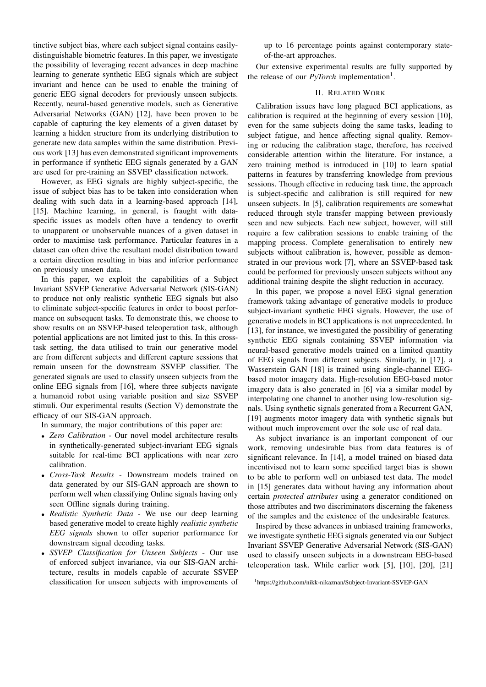tinctive subject bias, where each subject signal contains easilydistinguishable biometric features. In this paper, we investigate the possibility of leveraging recent advances in deep machine learning to generate synthetic EEG signals which are subject invariant and hence can be used to enable the training of generic EEG signal decoders for previously unseen subjects. Recently, neural-based generative models, such as Generative Adversarial Networks (GAN) [12], have been proven to be capable of capturing the key elements of a given dataset by learning a hidden structure from its underlying distribution to generate new data samples within the same distribution. Previous work [13] has even demonstrated significant improvements in performance if synthetic EEG signals generated by a GAN are used for pre-training an SSVEP classification network.

However, as EEG signals are highly subject-specific, the issue of subject bias has to be taken into consideration when dealing with such data in a learning-based approach [14], [15]. Machine learning, in general, is fraught with dataspecific issues as models often have a tendency to overfit to unapparent or unobservable nuances of a given dataset in order to maximise task performance. Particular features in a dataset can often drive the resultant model distribution toward a certain direction resulting in bias and inferior performance on previously unseen data.

In this paper, we exploit the capabilities of a Subject Invariant SSVEP Generative Adversarial Network (SIS-GAN) to produce not only realistic synthetic EEG signals but also to eliminate subject-specific features in order to boost performance on subsequent tasks. To demonstrate this, we choose to show results on an SSVEP-based teleoperation task, although potential applications are not limited just to this. In this crosstask setting, the data utilised to train our generative model are from different subjects and different capture sessions that remain unseen for the downstream SSVEP classifier. The generated signals are used to classify unseen subjects from the online EEG signals from [16], where three subjects navigate a humanoid robot using variable position and size SSVEP stimuli. Our experimental results (Section V) demonstrate the efficacy of our SIS-GAN approach.

In summary, the major contributions of this paper are:

- *Zero Calibration* Our novel model architecture results in synthetically-generated subject-invariant EEG signals suitable for real-time BCI applications with near zero calibration.
- *Cross-Task Results* Downstream models trained on data generated by our SIS-GAN approach are shown to perform well when classifying Online signals having only seen Offline signals during training.
- *Realistic Synthetic Data* We use our deep learning based generative model to create highly *realistic synthetic EEG signals* shown to offer superior performance for downstream signal decoding tasks.
- *SSVEP Classification for Unseen Subjects* Our use of enforced subject invariance, via our SIS-GAN architecture, results in models capable of accurate SSVEP classification for unseen subjects with improvements of

up to 16 percentage points against contemporary stateof-the-art approaches.

Our extensive experimental results are fully supported by the release of our *PyTorch* implementation<sup>1</sup>.

## II. RELATED WORK

Calibration issues have long plagued BCI applications, as calibration is required at the beginning of every session [10], even for the same subjects doing the same tasks, leading to subject fatigue, and hence affecting signal quality. Removing or reducing the calibration stage, therefore, has received considerable attention within the literature. For instance, a zero training method is introduced in [10] to learn spatial patterns in features by transferring knowledge from previous sessions. Though effective in reducing task time, the approach is subject-specific and calibration is still required for new unseen subjects. In [5], calibration requirements are somewhat reduced through style transfer mapping between previously seen and new subjects. Each new subject, however, will still require a few calibration sessions to enable training of the mapping process. Complete generalisation to entirely new subjects without calibration is, however, possible as demonstrated in our previous work [7], where an SSVEP-based task could be performed for previously unseen subjects without any additional training despite the slight reduction in accuracy.

In this paper, we propose a novel EEG signal generation framework taking advantage of generative models to produce subject-invariant synthetic EEG signals. However, the use of generative models in BCI applications is not unprecedented. In [13], for instance, we investigated the possibility of generating synthetic EEG signals containing SSVEP information via neural-based generative models trained on a limited quantity of EEG signals from different subjects. Similarly, in [17], a Wasserstein GAN [18] is trained using single-channel EEGbased motor imagery data. High-resolution EEG-based motor imagery data is also generated in [6] via a similar model by interpolating one channel to another using low-resolution signals. Using synthetic signals generated from a Recurrent GAN, [19] augments motor imagery data with synthetic signals but without much improvement over the sole use of real data.

As subject invariance is an important component of our work, removing undesirable bias from data features is of significant relevance. In [14], a model trained on biased data incentivised not to learn some specified target bias is shown to be able to perform well on unbiased test data. The model in [15] generates data without having any information about certain *protected attributes* using a generator conditioned on those attributes and two discriminators discerning the fakeness of the samples and the existence of the undesirable features.

Inspired by these advances in unbiased training frameworks, we investigate synthetic EEG signals generated via our Subject Invariant SSVEP Generative Adversarial Network (SIS-GAN) used to classify unseen subjects in a downstream EEG-based teleoperation task. While earlier work [5], [10], [20], [21]

<sup>1</sup>https://github.com/nikk-nikaznan/Subject-Invariant-SSVEP-GAN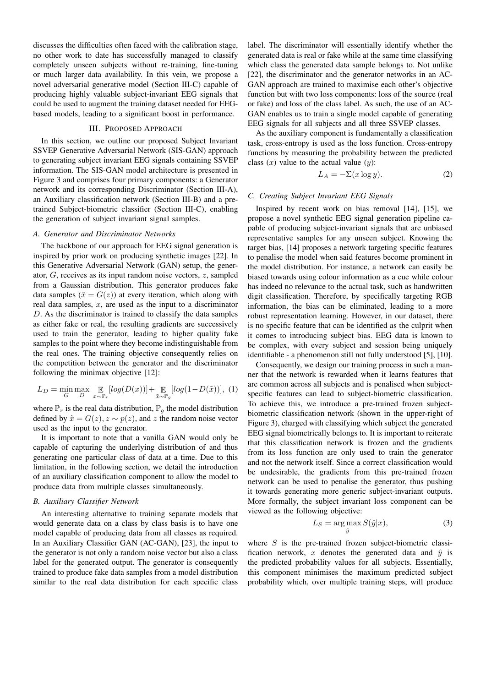discusses the difficulties often faced with the calibration stage, no other work to date has successfully managed to classify completely unseen subjects without re-training, fine-tuning or much larger data availability. In this vein, we propose a novel adversarial generative model (Section III-C) capable of producing highly valuable subject-invariant EEG signals that could be used to augment the training dataset needed for EEGbased models, leading to a significant boost in performance.

## III. PROPOSED APPROACH

In this section, we outline our proposed Subject Invariant SSVEP Generative Adversarial Network (SIS-GAN) approach to generating subject invariant EEG signals containing SSVEP information. The SIS-GAN model architecture is presented in Figure 3 and comprises four primary components: a Generator network and its corresponding Discriminator (Section III-A), an Auxiliary classification network (Section III-B) and a pretrained Subject-biometric classifier (Section III-C), enabling the generation of subject invariant signal samples.

## *A. Generator and Discriminator Networks*

The backbone of our approach for EEG signal generation is inspired by prior work on producing synthetic images [22]. In this Generative Adversarial Network (GAN) setup, the generator, G, receives as its input random noise vectors, z, sampled from a Gaussian distribution. This generator produces fake data samples ( $\tilde{x} = G(z)$ ) at every iteration, which along with real data samples,  $x$ , are used as the input to a discriminator D. As the discriminator is trained to classify the data samples as either fake or real, the resulting gradients are successively used to train the generator, leading to higher quality fake samples to the point where they become indistinguishable from the real ones. The training objective consequently relies on the competition between the generator and the discriminator following the minimax objective [12]:

$$
L_D = \min_G \max_D \mathop{\mathbb{E}}_{x \sim \mathbb{P}_r} [log(D(x))] + \mathop{\mathbb{E}}_{\tilde{x} \sim \mathbb{P}_g} [log(1 - D(\tilde{x}))], (1)
$$

where  $\mathbb{P}_r$  is the real data distribution,  $\mathbb{P}_q$  the model distribution defined by  $\tilde{x} = G(z), z \sim p(z)$ , and z the random noise vector used as the input to the generator.

It is important to note that a vanilla GAN would only be capable of capturing the underlying distribution of and thus generating one particular class of data at a time. Due to this limitation, in the following section, we detail the introduction of an auxiliary classification component to allow the model to produce data from multiple classes simultaneously.

# *B. Auxiliary Classifier Network*

An interesting alternative to training separate models that would generate data on a class by class basis is to have one model capable of producing data from all classes as required. In an Auxiliary Classifier GAN (AC-GAN), [23], the input to the generator is not only a random noise vector but also a class label for the generated output. The generator is consequently trained to produce fake data samples from a model distribution similar to the real data distribution for each specific class label. The discriminator will essentially identify whether the generated data is real or fake while at the same time classifying which class the generated data sample belongs to. Not unlike [22], the discriminator and the generator networks in an AC-GAN approach are trained to maximise each other's objective function but with two loss components: loss of the source (real or fake) and loss of the class label. As such, the use of an AC-GAN enables us to train a single model capable of generating EEG signals for all subjects and all three SSVEP classes.

As the auxiliary component is fundamentally a classification task, cross-entropy is used as the loss function. Cross-entropy functions by measuring the probability between the predicted class  $(x)$  value to the actual value  $(y)$ :

$$
L_A = -\Sigma(x \log y). \tag{2}
$$

#### *C. Creating Subject Invariant EEG Signals*

Inspired by recent work on bias removal [14], [15], we propose a novel synthetic EEG signal generation pipeline capable of producing subject-invariant signals that are unbiased representative samples for any unseen subject. Knowing the target bias, [14] proposes a network targeting specific features to penalise the model when said features become prominent in the model distribution. For instance, a network can easily be biased towards using colour information as a cue while colour has indeed no relevance to the actual task, such as handwritten digit classification. Therefore, by specifically targeting RGB information, the bias can be eliminated, leading to a more robust representation learning. However, in our dataset, there is no specific feature that can be identified as the culprit when it comes to introducing subject bias. EEG data is known to be complex, with every subject and session being uniquely identifiable - a phenomenon still not fully understood [5], [10].

Consequently, we design our training process in such a manner that the network is rewarded when it learns features that are common across all subjects and is penalised when subjectspecific features can lead to subject-biometric classification. To achieve this, we introduce a pre-trained frozen subjectbiometric classification network (shown in the upper-right of Figure 3), charged with classifying which subject the generated EEG signal biometrically belongs to. It is important to reiterate that this classification network is frozen and the gradients from its loss function are only used to train the generator and not the network itself. Since a correct classification would be undesirable, the gradients from this pre-trained frozen network can be used to penalise the generator, thus pushing it towards generating more generic subject-invariant outputs. More formally, the subject invariant loss component can be viewed as the following objective:

$$
L_S = \underset{\hat{y}}{\arg \max} S(\hat{y}|x),\tag{3}
$$

where  $S$  is the pre-trained frozen subject-biometric classification network, x denotes the generated data and  $\hat{y}$  is the predicted probability values for all subjects. Essentially, this component minimises the maximum predicted subject probability which, over multiple training steps, will produce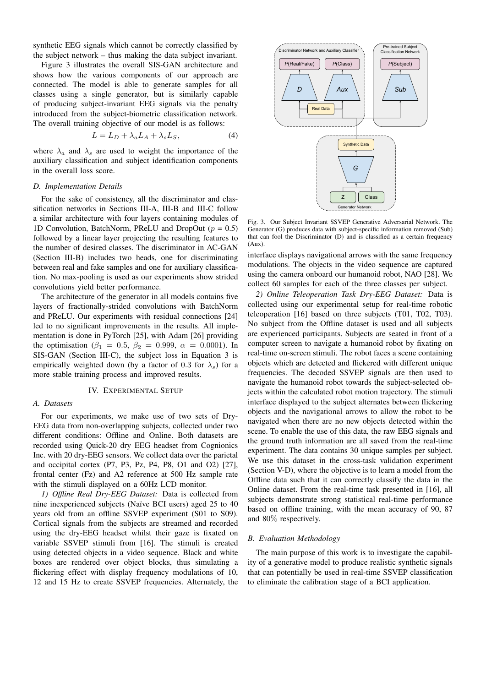synthetic EEG signals which cannot be correctly classified by the subject network – thus making the data subject invariant.

Figure 3 illustrates the overall SIS-GAN architecture and shows how the various components of our approach are connected. The model is able to generate samples for all classes using a single generator, but is similarly capable of producing subject-invariant EEG signals via the penalty introduced from the subject-biometric classification network. The overall training objective of our model is as follows:

$$
L = L_D + \lambda_a L_A + \lambda_s L_S,
$$
 (4)

where  $\lambda_a$  and  $\lambda_s$  are used to weight the importance of the auxiliary classification and subject identification components in the overall loss score.

#### *D. Implementation Details*

For the sake of consistency, all the discriminator and classification networks in Sections III-A, III-B and III-C follow a similar architecture with four layers containing modules of 1D Convolution, BatchNorm, PReLU and DropOut ( $p = 0.5$ ) followed by a linear layer projecting the resulting features to the number of desired classes. The discriminator in AC-GAN (Section III-B) includes two heads, one for discriminating between real and fake samples and one for auxiliary classification. No max-pooling is used as our experiments show strided convolutions yield better performance.

The architecture of the generator in all models contains five layers of fractionally-strided convolutions with BatchNorm and PReLU. Our experiments with residual connections [24] led to no significant improvements in the results. All implementation is done in PyTorch [25], with Adam [26] providing the optimisation ( $\beta_1 = 0.5$ ,  $\beta_2 = 0.999$ ,  $\alpha = 0.0001$ ). In SIS-GAN (Section III-C), the subject loss in Equation 3 is empirically weighted down (by a factor of 0.3 for  $\lambda_s$ ) for a more stable training process and improved results.

#### IV. EXPERIMENTAL SETUP

# *A. Datasets*

For our experiments, we make use of two sets of Dry-EEG data from non-overlapping subjects, collected under two different conditions: Offline and Online. Both datasets are recorded using Quick-20 dry EEG headset from Cognionics Inc. with 20 dry-EEG sensors. We collect data over the parietal and occipital cortex (P7, P3, Pz, P4, P8, O1 and O2) [27], frontal center (Fz) and A2 reference at 500 Hz sample rate with the stimuli displayed on a 60Hz LCD monitor.

*1) Offline Real Dry-EEG Dataset:* Data is collected from nine inexperienced subjects (Naïve BCI users) aged 25 to 40 years old from an offline SSVEP experiment (S01 to S09). Cortical signals from the subjects are streamed and recorded using the dry-EEG headset whilst their gaze is fixated on variable SSVEP stimuli from [16]. The stimuli is created using detected objects in a video sequence. Black and white boxes are rendered over object blocks, thus simulating a flickering effect with display frequency modulations of 10, 12 and 15 Hz to create SSVEP frequencies. Alternately, the



Fig. 3. Our Subject Invariant SSVEP Generative Adversarial Network. The Generator (G) produces data with subject-specific information removed (Sub) that can fool the Discriminator (D) and is classified as a certain frequency (Aux).

interface displays navigational arrows with the same frequency modulations. The objects in the video sequence are captured using the camera onboard our humanoid robot, NAO [28]. We collect 60 samples for each of the three classes per subject.

*2) Online Teleoperation Task Dry-EEG Dataset:* Data is collected using our experimental setup for real-time robotic teleoperation [16] based on three subjects (T01, T02, T03). No subject from the Offline dataset is used and all subjects are experienced participants. Subjects are seated in front of a computer screen to navigate a humanoid robot by fixating on real-time on-screen stimuli. The robot faces a scene containing objects which are detected and flickered with different unique frequencies. The decoded SSVEP signals are then used to navigate the humanoid robot towards the subject-selected objects within the calculated robot motion trajectory. The stimuli interface displayed to the subject alternates between flickering objects and the navigational arrows to allow the robot to be navigated when there are no new objects detected within the scene. To enable the use of this data, the raw EEG signals and the ground truth information are all saved from the real-time experiment. The data contains 30 unique samples per subject. We use this dataset in the cross-task validation experiment (Section V-D), where the objective is to learn a model from the Offline data such that it can correctly classify the data in the Online dataset. From the real-time task presented in [16], all subjects demonstrate strong statistical real-time performance based on offline training, with the mean accuracy of 90, 87 and 80% respectively.

## *B. Evaluation Methodology*

The main purpose of this work is to investigate the capability of a generative model to produce realistic synthetic signals that can potentially be used in real-time SSVEP classification to eliminate the calibration stage of a BCI application.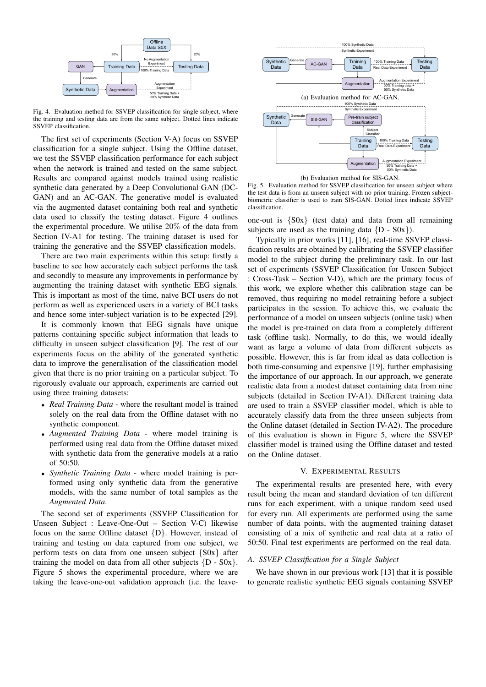

Fig. 4. Evaluation method for SSVEP classification for single subject, where the training and testing data are from the same subject. Dotted lines indicate SSVEP classification.

The first set of experiments (Section V-A) focus on SSVEP classification for a single subject. Using the Offline dataset, we test the SSVEP classification performance for each subject when the network is trained and tested on the same subject. Results are compared against models trained using realistic synthetic data generated by a Deep Convolutional GAN (DC-GAN) and an AC-GAN. The generative model is evaluated via the augmented dataset containing both real and synthetic data used to classify the testing dataset. Figure 4 outlines the experimental procedure. We utilise 20% of the data from Section IV-A1 for testing. The training dataset is used for training the generative and the SSVEP classification models.

There are two main experiments within this setup: firstly a baseline to see how accurately each subject performs the task and secondly to measure any improvements in performance by augmenting the training dataset with synthetic EEG signals. This is important as most of the time, naïve BCI users do not perform as well as experienced users in a variety of BCI tasks and hence some inter-subject variation is to be expected [29].

It is commonly known that EEG signals have unique patterns containing specific subject information that leads to difficulty in unseen subject classification [9]. The rest of our experiments focus on the ability of the generated synthetic data to improve the generalisation of the classification model given that there is no prior training on a particular subject. To rigorously evaluate our approach, experiments are carried out using three training datasets:

- *Real Training Data* where the resultant model is trained solely on the real data from the Offline dataset with no synthetic component.
- *Augmented Training Data* where model training is performed using real data from the Offline dataset mixed with synthetic data from the generative models at a ratio of 50:50.
- *Synthetic Training Data* where model training is performed using only synthetic data from the generative models, with the same number of total samples as the *Augmented Data*.

The second set of experiments (SSVEP Classification for Unseen Subject : Leave-One-Out – Section V-C) likewise focus on the same Offline dataset {D}. However, instead of training and testing on data captured from one subject, we perform tests on data from one unseen subject {S0x} after training the model on data from all other subjects  ${D - SOx}$ . Figure 5 shows the experimental procedure, where we are taking the leave-one-out validation approach (i.e. the leave-



(b) Evaluation method for SIS-GAN.

Fig. 5. Evaluation method for SSVEP classification for unseen subject where the test data is from an unseen subject with no prior training. Frozen subjectbiometric classifier is used to train SIS-GAN. Dotted lines indicate SSVEP classification.

one-out is {S0x} (test data) and data from all remaining subjects are used as the training data  ${D - SOx}$ .

Typically in prior works [11], [16], real-time SSVEP classification results are obtained by calibrating the SSVEP classifier model to the subject during the preliminary task. In our last set of experiments (SSVEP Classification for Unseen Subject : Cross-Task – Section V-D), which are the primary focus of this work, we explore whether this calibration stage can be removed, thus requiring no model retraining before a subject participates in the session. To achieve this, we evaluate the performance of a model on unseen subjects (online task) when the model is pre-trained on data from a completely different task (offline task). Normally, to do this, we would ideally want as large a volume of data from different subjects as possible. However, this is far from ideal as data collection is both time-consuming and expensive [19], further emphasising the importance of our approach. In our approach, we generate realistic data from a modest dataset containing data from nine subjects (detailed in Section IV-A1). Different training data are used to train a SSVEP classifier model, which is able to accurately classify data from the three unseen subjects from the Online dataset (detailed in Section IV-A2). The procedure of this evaluation is shown in Figure 5, where the SSVEP classifier model is trained using the Offline dataset and tested on the Online dataset.

#### V. EXPERIMENTAL RESULTS

The experimental results are presented here, with every result being the mean and standard deviation of ten different runs for each experiment, with a unique random seed used for every run. All experiments are performed using the same number of data points, with the augmented training dataset consisting of a mix of synthetic and real data at a ratio of 50:50. Final test experiments are performed on the real data.

## *A. SSVEP Classification for a Single Subject*

We have shown in our previous work [13] that it is possible to generate realistic synthetic EEG signals containing SSVEP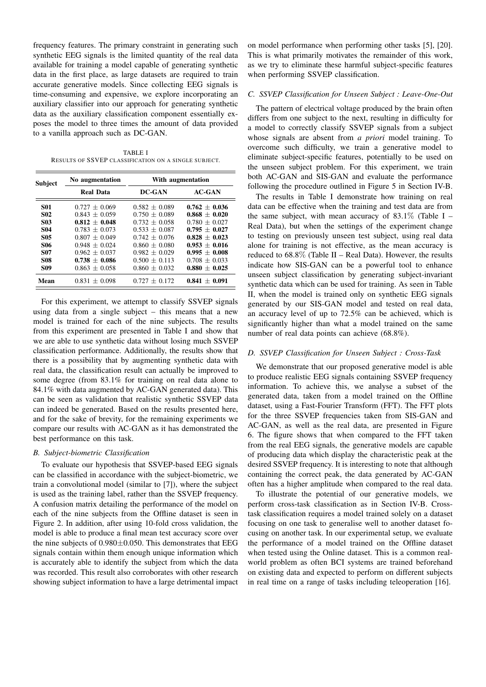frequency features. The primary constraint in generating such synthetic EEG signals is the limited quantity of the real data available for training a model capable of generating synthetic data in the first place, as large datasets are required to train accurate generative models. Since collecting EEG signals is time-consuming and expensive, we explore incorporating an auxiliary classifier into our approach for generating synthetic data as the auxiliary classification component essentially exposes the model to three times the amount of data provided to a vanilla approach such as DC-GAN.

TABLE I RESULTS OF SSVEP CLASSIFICATION ON A SINGLE SUBJECT.

| <b>Subject</b> | No augmentation   | With augmentation |                 |  |
|----------------|-------------------|-------------------|-----------------|--|
|                | <b>Real Data</b>  | DC-GAN            | $AC-GAN$        |  |
| <b>S01</b>     | $0.727 + 0.069$   | $0.582 + 0.089$   | $0.762 + 0.036$ |  |
| <b>S02</b>     | $0.843 + 0.059$   | $0.750 + 0.089$   | $0.868 + 0.020$ |  |
| <b>S03</b>     | $0.812 + 0.048$   | $0.732 + 0.058$   | $0.780 + 0.027$ |  |
| <b>S04</b>     | $0.783 + 0.073$   | $0.533 + 0.087$   | $0.795 + 0.027$ |  |
| <b>S05</b>     | $0.807 + 0.049$   | $0.742 + 0.076$   | $0.828 + 0.023$ |  |
| <b>S06</b>     | $0.948 + 0.024$   | $0.860 + 0.080$   | $0.953 + 0.016$ |  |
| S07            | $0.962 + 0.037$   | $0.982 + 0.029$   | $0.995 + 0.008$ |  |
| <b>S08</b>     | $0.738 + 0.086$   | $0.500 + 0.113$   | $0.708 + 0.033$ |  |
| <b>S09</b>     | $0.863 + 0.058$   | $0.860 + 0.032$   | $0.880 + 0.025$ |  |
| Mean           | $0.831 \pm 0.098$ | $0.727 \pm 0.172$ | $0.841 + 0.091$ |  |

For this experiment, we attempt to classify SSVEP signals using data from a single subject – this means that a new model is trained for each of the nine subjects. The results from this experiment are presented in Table I and show that we are able to use synthetic data without losing much SSVEP classification performance. Additionally, the results show that there is a possibility that by augmenting synthetic data with real data, the classification result can actually be improved to some degree (from 83.1% for training on real data alone to 84.1% with data augmented by AC-GAN generated data). This can be seen as validation that realistic synthetic SSVEP data can indeed be generated. Based on the results presented here, and for the sake of brevity, for the remaining experiments we compare our results with AC-GAN as it has demonstrated the best performance on this task.

# *B. Subject-biometric Classification*

To evaluate our hypothesis that SSVEP-based EEG signals can be classified in accordance with the subject-biometric, we train a convolutional model (similar to [7]), where the subject is used as the training label, rather than the SSVEP frequency. A confusion matrix detailing the performance of the model on each of the nine subjects from the Offline dataset is seen in Figure 2. In addition, after using 10-fold cross validation, the model is able to produce a final mean test accuracy score over the nine subjects of  $0.980 \pm 0.050$ . This demonstrates that EEG signals contain within them enough unique information which is accurately able to identify the subject from which the data was recorded. This result also corroborates with other research showing subject information to have a large detrimental impact

on model performance when performing other tasks [5], [20]. This is what primarily motivates the remainder of this work, as we try to eliminate these harmful subject-specific features when performing SSVEP classification.

## *C. SSVEP Classification for Unseen Subject : Leave-One-Out*

The pattern of electrical voltage produced by the brain often differs from one subject to the next, resulting in difficulty for a model to correctly classify SSVEP signals from a subject whose signals are absent from *a priori* model training. To overcome such difficulty, we train a generative model to eliminate subject-specific features, potentially to be used on the unseen subject problem. For this experiment, we train both AC-GAN and SIS-GAN and evaluate the performance following the procedure outlined in Figure 5 in Section IV-B.

The results in Table I demonstrate how training on real data can be effective when the training and test data are from the same subject, with mean accuracy of  $83.1\%$  (Table I – Real Data), but when the settings of the experiment change to testing on previously unseen test subject, using real data alone for training is not effective, as the mean accuracy is reduced to  $68.8\%$  (Table II – Real Data). However, the results indicate how SIS-GAN can be a powerful tool to enhance unseen subject classification by generating subject-invariant synthetic data which can be used for training. As seen in Table II, when the model is trained only on synthetic EEG signals generated by our SIS-GAN model and tested on real data, an accuracy level of up to 72.5% can be achieved, which is significantly higher than what a model trained on the same number of real data points can achieve (68.8%).

## *D. SSVEP Classification for Unseen Subject : Cross-Task*

We demonstrate that our proposed generative model is able to produce realistic EEG signals containing SSVEP frequency information. To achieve this, we analyse a subset of the generated data, taken from a model trained on the Offline dataset, using a Fast-Fourier Transform (FFT). The FFT plots for the three SSVEP frequencies taken from SIS-GAN and AC-GAN, as well as the real data, are presented in Figure 6. The figure shows that when compared to the FFT taken from the real EEG signals, the generative models are capable of producing data which display the characteristic peak at the desired SSVEP frequency. It is interesting to note that although containing the correct peak, the data generated by AC-GAN often has a higher amplitude when compared to the real data.

To illustrate the potential of our generative models, we perform cross-task classification as in Section IV-B. Crosstask classification requires a model trained solely on a dataset focusing on one task to generalise well to another dataset focusing on another task. In our experimental setup, we evaluate the performance of a model trained on the Offline dataset when tested using the Online dataset. This is a common realworld problem as often BCI systems are trained beforehand on existing data and expected to perform on different subjects in real time on a range of tasks including teleoperation [16].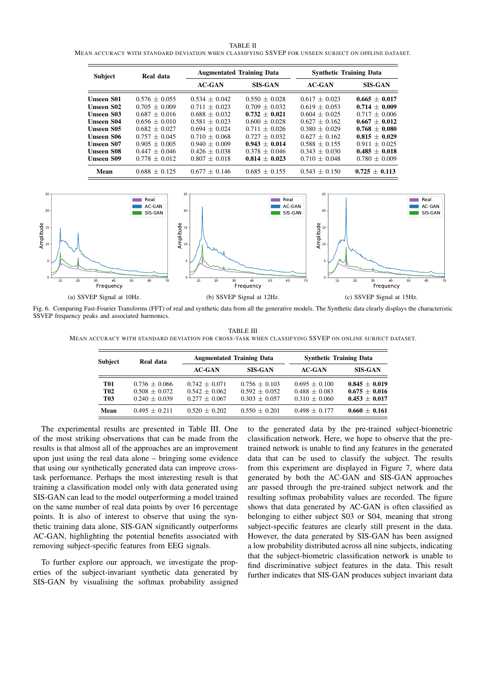TABLE II

MEAN ACCURACY WITH STANDARD DEVIATION WHEN CLASSIFYING SSVEP FOR UNSEEN SUBJECT ON OFFLINE DATASET.

| <b>Subject</b>    | Real data       | <b>Augmentated Training Data</b> |                 | <b>Synthetic Training Data</b> |                 |
|-------------------|-----------------|----------------------------------|-----------------|--------------------------------|-----------------|
|                   |                 | <b>AC-GAN</b>                    | <b>SIS-GAN</b>  | <b>AC-GAN</b>                  | <b>SIS-GAN</b>  |
| <b>Unseen S01</b> | $0.576 + 0.055$ | $0.534 + 0.042$                  | $0.550 + 0.028$ | $0.617 + 0.023$                | $0.665 + 0.017$ |
| <b>Unseen S02</b> | $0.705 + 0.009$ | $0.711 + 0.023$                  | $0.709 + 0.032$ | $0.619 + 0.053$                | $0.714 + 0.009$ |
| <b>Unseen S03</b> | $0.687 + 0.016$ | $0.688 + 0.032$                  | $0.732 + 0.021$ | $0.604 + 0.025$                | $0.717 + 0.006$ |
| <b>Unseen S04</b> | $0.656 + 0.010$ | $0.581 + 0.023$                  | $0.600 + 0.028$ | $0.627 + 0.162$                | $0.667 + 0.012$ |
| <b>Unseen S05</b> | $0.682 + 0.027$ | $0.694 + 0.024$                  | $0.711 + 0.026$ | $0.380 + 0.029$                | $0.768 + 0.080$ |
| <b>Unseen S06</b> | $0.757 + 0.045$ | $0.710 + 0.068$                  | $0.727 + 0.032$ | $0.627 + 0.162$                | $0.815 + 0.029$ |
| <b>Unseen S07</b> | $0.905 + 0.005$ | $0.940 + 0.009$                  | $0.943 + 0.014$ | $0.588 + 0.155$                | $0.911 + 0.025$ |
| <b>Unseen S08</b> | $0.447 + 0.046$ | $0.426 + 0.038$                  | $0.378 + 0.046$ | $0.343 + 0.030$                | $0.485 + 0.018$ |
| <b>Unseen S09</b> | $0.778 + 0.012$ | $0.807 + 0.018$                  | $0.814 + 0.023$ | $0.710 + 0.048$                | $0.780 + 0.009$ |
| Mean              | $0.688 + 0.125$ | $0.677 + 0.146$                  | $0.685 + 0.155$ | $0.543 + 0.150$                | $0.725 + 0.113$ |



Fig. 6. Comparing Fast-Fourier Transforms (FFT) of real and synthetic data from all the generative models. The Synthetic data clearly displays the characteristic SSVEP frequency peaks and associated harmonics.

TABLE III MEAN ACCURACY WITH STANDARD DEVIATION FOR CROSS-TASK WHEN CLASSIFYING SSVEP ON ONLINE SUBJECT DATASET.

| Real data                          | <b>Augmentated Training Data</b>   |                                    | <b>Synthetic Training Data</b>     |                                    |
|------------------------------------|------------------------------------|------------------------------------|------------------------------------|------------------------------------|
|                                    | <b>AC-GAN</b>                      | <b>SIS-GAN</b>                     | <b>AC-GAN</b>                      | <b>SIS-GAN</b>                     |
| $0.736 + 0.066$<br>$0.508 + 0.072$ | $0.742 + 0.071$<br>$0.542 + 0.062$ | $0.756 + 0.103$<br>$0.592 + 0.052$ | $0.695 + 0.100$<br>$0.488 + 0.083$ | $0.845 + 0.019$<br>$0.675 + 0.016$ |
|                                    |                                    |                                    |                                    | $0.453 + 0.017$<br>$0.660 + 0.161$ |
|                                    | $0.240 + 0.039$<br>$0.495 + 0.211$ | $0.277 + 0.067$<br>$0.520 + 0.202$ | $0.303 + 0.057$<br>$0.550 + 0.201$ | $0.310 + 0.060$<br>$0.498 + 0.177$ |

The experimental results are presented in Table III. One of the most striking observations that can be made from the results is that almost all of the approaches are an improvement upon just using the real data alone – bringing some evidence that using our synthetically generated data can improve crosstask performance. Perhaps the most interesting result is that training a classification model only with data generated using SIS-GAN can lead to the model outperforming a model trained on the same number of real data points by over 16 percentage points. It is also of interest to observe that using the synthetic training data alone, SIS-GAN significantly outperforms AC-GAN, highlighting the potential benefits associated with removing subject-specific features from EEG signals.

To further explore our approach, we investigate the properties of the subject-invariant synthetic data generated by SIS-GAN by visualising the softmax probability assigned to the generated data by the pre-trained subject-biometric classification network. Here, we hope to observe that the pretrained network is unable to find any features in the generated data that can be used to classify the subject. The results from this experiment are displayed in Figure 7, where data generated by both the AC-GAN and SIS-GAN approaches are passed through the pre-trained subject network and the resulting softmax probability values are recorded. The figure shows that data generated by AC-GAN is often classified as belonging to either subject S03 or S04, meaning that strong subject-specific features are clearly still present in the data. However, the data generated by SIS-GAN has been assigned a low probability distributed across all nine subjects, indicating that the subject-biometric classification network is unable to find discriminative subject features in the data. This result further indicates that SIS-GAN produces subject invariant data